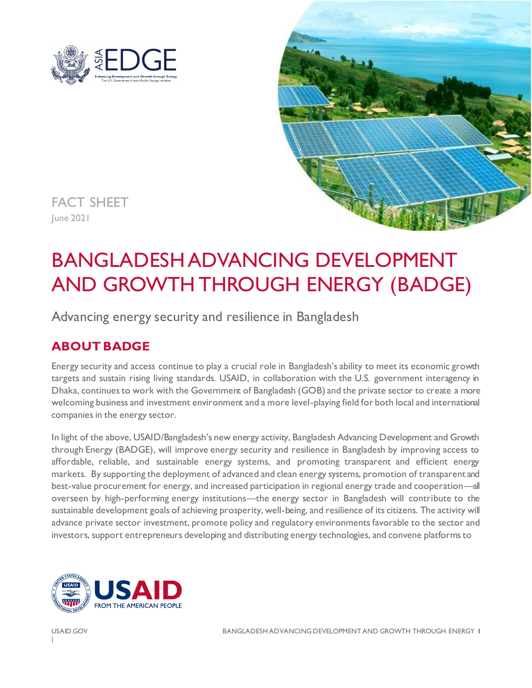



FACT SHEET June 2021

# BANGLADESH ADVANCING DEVELOPMENT AND GROWTH THROUGH ENERGY (BADGE)

Advancing energy security and resilience in Bangladesh

# **ABOUT BADGE**

Energy security and access continue to play a crucial role in Bangladesh's ability to meet its economic growth targets and sustain rising living standards. USAID, in collaboration with the U.S. government interagency in Dhaka, continues to work with the Government of Bangladesh (GOB) and the private sector to create a more welcoming business and investment environment and a more level-playing field for both local and international companies in the energy sector.

In light of the above, USAID/Bangladesh's new energy activity, Bangladesh Advancing Development and Growth through Energy (BADGE), will improve energy security and resilience in Bangladesh by improving access to affordable, reliable, and sustainable energy systems, and promoting transparent and efficient energy markets. By supporting the deployment of advanced and clean energy systems, promotion of transparent and best-value procurement for energy, and increased participation in regional energy trade and cooperation—all overseen by high-performing energy institutions—the energy sector in Bangladesh will contribute to the sustainable development goals of achieving prosperity, well-being, and resilience of its citizens. The activity will advance private sector investment, promote policy and regulatory environments favorable to the sector and investors, support entrepreneurs developing and distributing energy technologies, and convene platforms to